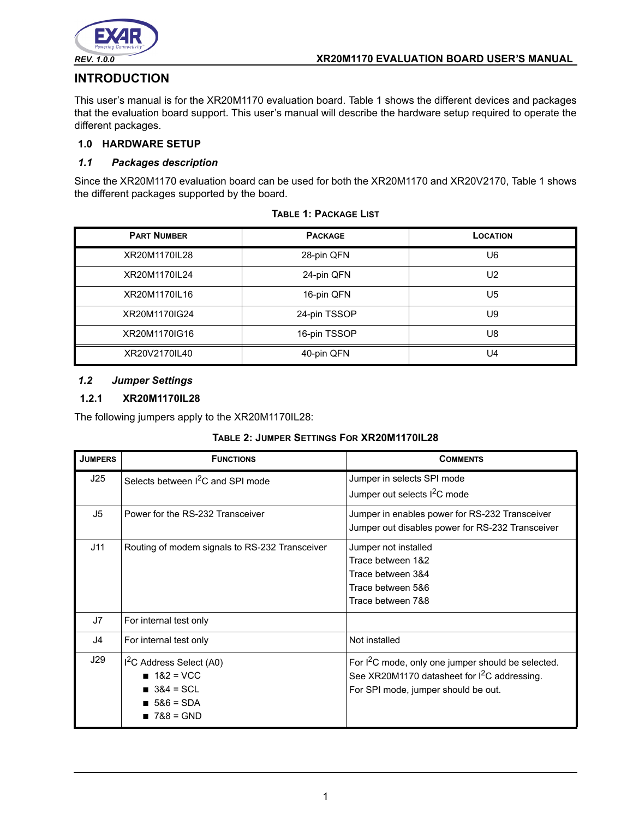

# **INTRODUCTION**

This user's manual is for the XR20M1170 evaluation board. Table 1 shows the different devices and packages that the evaluation board support. This user's manual will describe the hardware setup required to operate the different packages.

### **1.0 HARDWARE SETUP**

#### *1.1 Packages description*

Since the XR20M1170 evaluation board can be used for both the XR20M1170 and XR20V2170, Table 1 shows the different packages supported by the board.

| <b>PART NUMBER</b> | <b>PACKAGE</b> | <b>LOCATION</b> |
|--------------------|----------------|-----------------|
| XR20M1170IL28      | 28-pin QFN     | U6              |
| XR20M1170IL24      | 24-pin QFN     | U <sub>2</sub>  |
| XR20M1170IL16      | 16-pin QFN     | U5              |
| XR20M1170IG24      | 24-pin TSSOP   | U9              |
| XR20M1170IG16      | 16-pin TSSOP   | U8              |
| XR20V2170IL40      | 40-pin QFN     | U4              |

**TABLE 1: PACKAGE LIST**

#### *1.2 Jumper Settings*

### **1.2.1 XR20M1170IL28**

The following jumpers apply to the XR20M1170IL28:

#### **TABLE 2: JUMPER SETTINGS FOR XR20M1170IL28**

| <b>JUMPERS</b> | <b>FUNCTIONS</b>                                                                                 | <b>COMMENTS</b>                                                                                                                                                   |
|----------------|--------------------------------------------------------------------------------------------------|-------------------------------------------------------------------------------------------------------------------------------------------------------------------|
| J25            | Selects between <sup>2</sup> C and SPI mode                                                      | Jumper in selects SPI mode<br>Jumper out selects <sup>2</sup> C mode                                                                                              |
| J5             | Power for the RS-232 Transceiver                                                                 | Jumper in enables power for RS-232 Transceiver<br>Jumper out disables power for RS-232 Transceiver                                                                |
| J11            | Routing of modem signals to RS-232 Transceiver                                                   | Jumper not installed<br>Trace between 1&2<br>Trace between 3&4<br>Trace between 5&6<br>Trace between 7&8                                                          |
| J7             | For internal test only                                                                           |                                                                                                                                                                   |
| J4             | For internal test only                                                                           | Not installed                                                                                                                                                     |
| J29            | I <sup>2</sup> C Address Select (A0)<br>$182 = VCC$<br>$384 = SCL$<br>$586 = SDA$<br>$788 = GND$ | For I <sup>2</sup> C mode, only one jumper should be selected.<br>See XR20M1170 datasheet for I <sup>2</sup> C addressing.<br>For SPI mode, jumper should be out. |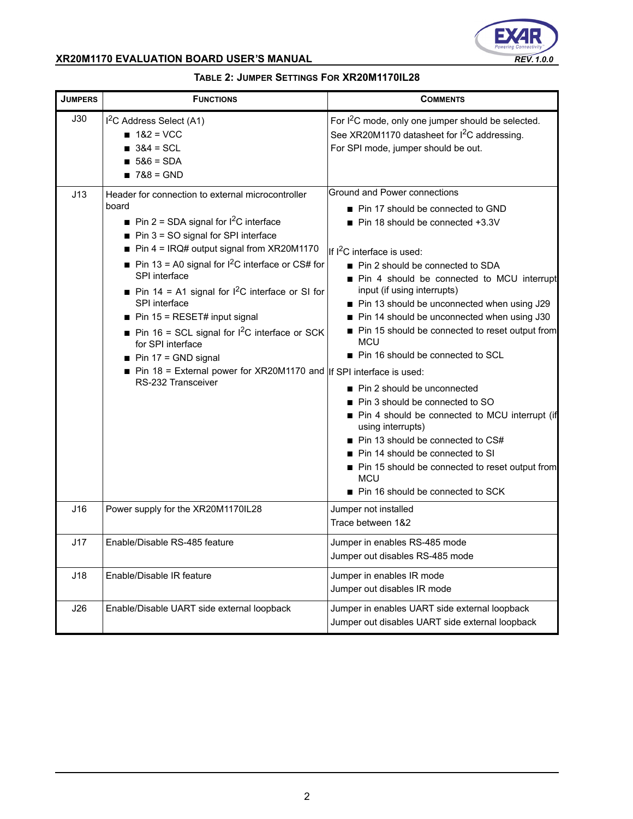

| <b>JUMPERS</b> | <b>FUNCTIONS</b>                                                                                                                                                                                                                                                                                                                                                                                                                                                                                                                                | <b>COMMENTS</b>                                                                                                                                                                                                                                                                                                                                                                                                                                                                                                                                                                                                                                                                                                                                                          |
|----------------|-------------------------------------------------------------------------------------------------------------------------------------------------------------------------------------------------------------------------------------------------------------------------------------------------------------------------------------------------------------------------------------------------------------------------------------------------------------------------------------------------------------------------------------------------|--------------------------------------------------------------------------------------------------------------------------------------------------------------------------------------------------------------------------------------------------------------------------------------------------------------------------------------------------------------------------------------------------------------------------------------------------------------------------------------------------------------------------------------------------------------------------------------------------------------------------------------------------------------------------------------------------------------------------------------------------------------------------|
| J30<br>J13     | I <sup>2</sup> C Address Select (A1)<br>$182 = VCC$<br>$\blacksquare$ 3&4 = SCL<br>$\blacksquare$ 5&6 = SDA<br>$\blacksquare$ 7&8 = GND<br>Header for connection to external microcontroller                                                                                                                                                                                                                                                                                                                                                    | For I <sup>2</sup> C mode, only one jumper should be selected.<br>See XR20M1170 datasheet for I <sup>2</sup> C addressing.<br>For SPI mode, jumper should be out.<br>Ground and Power connections                                                                                                                                                                                                                                                                                                                                                                                                                                                                                                                                                                        |
|                | board<br>Pin 2 = SDA signal for $1^2C$ interface<br>$\blacksquare$ Pin 3 = SO signal for SPI interface<br>Pin $4 = IRQ#$ output signal from XR20M1170<br>■ Pin 13 = A0 signal for $1^2C$ interface or CS# for<br>SPI interface<br>Pin 14 = A1 signal for $1^2C$ interface or SI for<br>SPI interface<br>Pin 15 = RESET# input signal<br>Pin 16 = SCL signal for $1^2C$ interface or SCK<br>for SPI interface<br>$\blacksquare$ Pin 17 = GND signal<br>Pin 18 = External power for XR20M1170 and If SPI interface is used:<br>RS-232 Transceiver | ■ Pin 17 should be connected to GND<br>■ Pin 18 should be connected +3.3V<br>If I <sup>2</sup> C interface is used:<br>■ Pin 2 should be connected to SDA<br>Pin 4 should be connected to MCU interrupt<br>input (if using interrupts)<br>Pin 13 should be unconnected when using J29<br>Pin 14 should be unconnected when using J30<br>Pin 15 should be connected to reset output from<br><b>MCU</b><br>Pin 16 should be connected to SCL<br>Pin 2 should be unconnected<br>■ Pin 3 should be connected to SO<br>Pin 4 should be connected to MCU interrupt (if<br>using interrupts)<br>■ Pin 13 should be connected to CS#<br>Pin 14 should be connected to SI<br>Pin 15 should be connected to reset output from<br><b>MCU</b><br>■ Pin 16 should be connected to SCK |
| J16            | Power supply for the XR20M1170IL28                                                                                                                                                                                                                                                                                                                                                                                                                                                                                                              | Jumper not installed<br>Trace between 1&2                                                                                                                                                                                                                                                                                                                                                                                                                                                                                                                                                                                                                                                                                                                                |
| J17            | Enable/Disable RS-485 feature                                                                                                                                                                                                                                                                                                                                                                                                                                                                                                                   | Jumper in enables RS-485 mode<br>Jumper out disables RS-485 mode                                                                                                                                                                                                                                                                                                                                                                                                                                                                                                                                                                                                                                                                                                         |
| J18            | Enable/Disable IR feature                                                                                                                                                                                                                                                                                                                                                                                                                                                                                                                       | Jumper in enables IR mode<br>Jumper out disables IR mode                                                                                                                                                                                                                                                                                                                                                                                                                                                                                                                                                                                                                                                                                                                 |
| J26            | Enable/Disable UART side external loopback                                                                                                                                                                                                                                                                                                                                                                                                                                                                                                      | Jumper in enables UART side external loopback<br>Jumper out disables UART side external loopback                                                                                                                                                                                                                                                                                                                                                                                                                                                                                                                                                                                                                                                                         |

### **TABLE 2: JUMPER SETTINGS FOR XR20M1170IL28**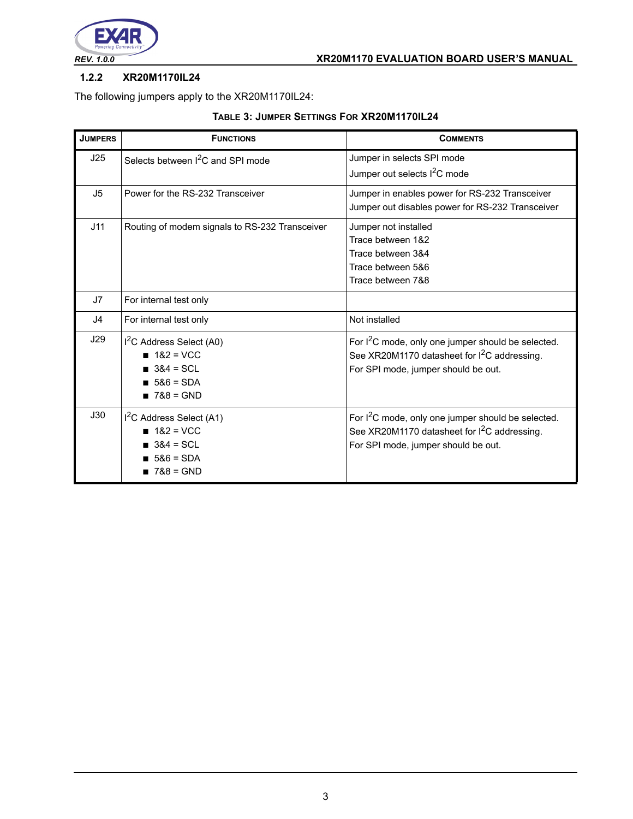

### **1.2.2 XR20M1170IL24**

The following jumpers apply to the XR20M1170IL24:

|  |  | TABLE 3: JUMPER SETTINGS FOR XR20M1170IL24 |
|--|--|--------------------------------------------|
|--|--|--------------------------------------------|

| <b>JUMPERS</b> | <b>FUNCTIONS</b>                               | <b>COMMENTS</b>                                                |
|----------------|------------------------------------------------|----------------------------------------------------------------|
| J25            | Selects between <sup>2</sup> C and SPI mode    | Jumper in selects SPI mode                                     |
|                |                                                | Jumper out selects I <sup>2</sup> C mode                       |
| J <sub>5</sub> | Power for the RS-232 Transceiver               | Jumper in enables power for RS-232 Transceiver                 |
|                |                                                | Jumper out disables power for RS-232 Transceiver               |
| J11            | Routing of modem signals to RS-232 Transceiver | Jumper not installed                                           |
|                |                                                | Trace between 1&2                                              |
|                |                                                | Trace between 3&4                                              |
|                |                                                | Trace between 5&6                                              |
|                |                                                | Trace between 7&8                                              |
| J7             | For internal test only                         |                                                                |
| J4             | For internal test only                         | Not installed                                                  |
| J29            | $I2C$ Address Select (A0)                      | For I <sup>2</sup> C mode, only one jumper should be selected. |
|                | $182 = VCC$                                    | See XR20M1170 datasheet for I <sup>2</sup> C addressing.       |
|                | $384 = SCL$                                    | For SPI mode, jumper should be out.                            |
|                | $.586 = SDA$                                   |                                                                |
|                | $1788 = GND$                                   |                                                                |
| J30            | $I2C$ Address Select (A1)                      | For I <sup>2</sup> C mode, only one jumper should be selected. |
|                | $182 = VCC$                                    | See XR20M1170 datasheet for I <sup>2</sup> C addressing.       |
|                | $384 = SCL$                                    | For SPI mode, jumper should be out.                            |
|                | $586 = SDA$                                    |                                                                |
|                | $788 = GND$                                    |                                                                |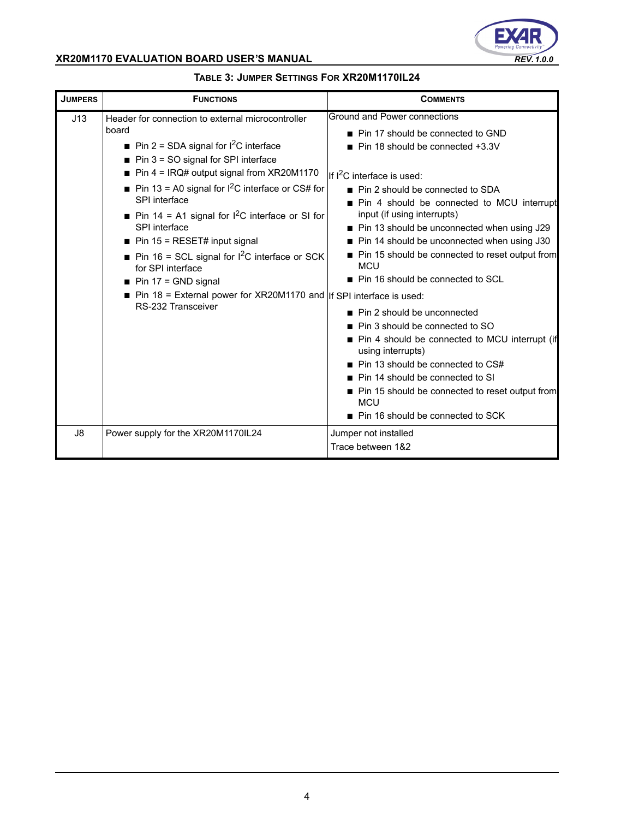

| <b>JUMPERS</b> | <b>FUNCTIONS</b>                                                                                                                                                                                                                                                                                                                                                                                                                                                                                                                                                                                                                                   | <b>COMMENTS</b>                                                                                                                                                                                                                                                                                                                                                                                                                                                                                                                                                                                                                                                                                                                                                                                                                 |
|----------------|----------------------------------------------------------------------------------------------------------------------------------------------------------------------------------------------------------------------------------------------------------------------------------------------------------------------------------------------------------------------------------------------------------------------------------------------------------------------------------------------------------------------------------------------------------------------------------------------------------------------------------------------------|---------------------------------------------------------------------------------------------------------------------------------------------------------------------------------------------------------------------------------------------------------------------------------------------------------------------------------------------------------------------------------------------------------------------------------------------------------------------------------------------------------------------------------------------------------------------------------------------------------------------------------------------------------------------------------------------------------------------------------------------------------------------------------------------------------------------------------|
| J13            | Header for connection to external microcontroller<br>board<br>Pin 2 = SDA signal for $1^2C$ interface<br>$\blacksquare$ Pin 3 = SO signal for SPI interface<br>$\blacksquare$ Pin 4 = IRQ# output signal from XR20M1170<br>Pin 13 = A0 signal for $1^2C$ interface or CS# for<br>SPI interface<br><b>Pin 14 = A1 signal for I<sup>2</sup>C interface or SI for</b><br>SPI interface<br>$\blacksquare$ Pin 15 = RESET# input signal<br>Pin 16 = SCL signal for $1^2$ C interface or SCK<br>for SPI interface<br>$\blacksquare$ Pin 17 = GND signal<br>Pin 18 = External power for XR20M1170 and $ $ If SPI interface is used:<br>RS-232 Transceiver | Ground and Power connections<br>■ Pin 17 should be connected to GND<br>Pin 18 should be connected +3.3V<br>If I <sup>2</sup> C interface is used:<br>■ Pin 2 should be connected to SDA<br>Pin 4 should be connected to MCU interrupt<br>input (if using interrupts)<br>■ Pin 13 should be unconnected when using J29<br>■ Pin 14 should be unconnected when using J30<br>■ Pin 15 should be connected to reset output from<br><b>MCU</b><br>■ Pin 16 should be connected to SCL<br>■ Pin 2 should be unconnected<br>■ Pin 3 should be connected to SO<br>■ Pin 4 should be connected to MCU interrupt (if<br>using interrupts)<br>$\blacksquare$ Pin 13 should be connected to CS#<br>Pin 14 should be connected to SI<br>Pin 15 should be connected to reset output from<br><b>MCU</b><br>■ Pin 16 should be connected to SCK |
| J8             | Power supply for the XR20M1170IL24                                                                                                                                                                                                                                                                                                                                                                                                                                                                                                                                                                                                                 | Jumper not installed<br>Trace between 1&2                                                                                                                                                                                                                                                                                                                                                                                                                                                                                                                                                                                                                                                                                                                                                                                       |

### **TABLE 3: JUMPER SETTINGS FOR XR20M1170IL24**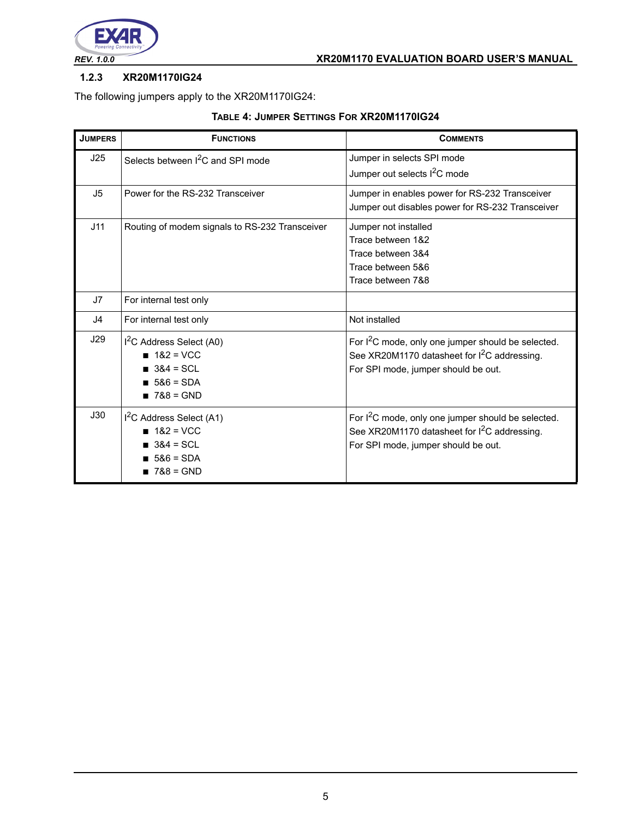

### **1.2.3 XR20M1170IG24**

The following jumpers apply to the XR20M1170IG24:

|  |  | TABLE 4: JUMPER SETTINGS FOR XR20M1170IG24 |
|--|--|--------------------------------------------|
|--|--|--------------------------------------------|

| <b>JUMPERS</b> | <b>FUNCTIONS</b>                                                                                                      | <b>COMMENTS</b>                                                                                                                                                   |
|----------------|-----------------------------------------------------------------------------------------------------------------------|-------------------------------------------------------------------------------------------------------------------------------------------------------------------|
| J25            | Selects between <sup>2</sup> C and SPI mode                                                                           | Jumper in selects SPI mode<br>Jumper out selects I <sup>2</sup> C mode                                                                                            |
| J <sub>5</sub> | Power for the RS-232 Transceiver                                                                                      | Jumper in enables power for RS-232 Transceiver<br>Jumper out disables power for RS-232 Transceiver                                                                |
| J11            | Routing of modem signals to RS-232 Transceiver                                                                        | Jumper not installed<br>Trace between 1&2<br>Trace between 3&4<br>Trace between 5&6<br>Trace between 7&8                                                          |
| J7             | For internal test only                                                                                                |                                                                                                                                                                   |
| J <sub>4</sub> | For internal test only                                                                                                | Not installed                                                                                                                                                     |
| J29            | I <sup>2</sup> C Address Select (A0)<br>$182 = VCC$<br>$384 = \text{SCI}$<br>$1586 = SDA$<br>$\blacksquare$ 7&8 = GND | For I <sup>2</sup> C mode, only one jumper should be selected.<br>See XR20M1170 datasheet for I <sup>2</sup> C addressing.<br>For SPI mode, jumper should be out. |
| J30            | I <sup>2</sup> C Address Select (A1)<br>$182 = VCC$<br>$384 = SCL$<br>$586 = SDA$<br>$788 = GND$                      | For I <sup>2</sup> C mode, only one jumper should be selected.<br>See XR20M1170 datasheet for I <sup>2</sup> C addressing.<br>For SPI mode, jumper should be out. |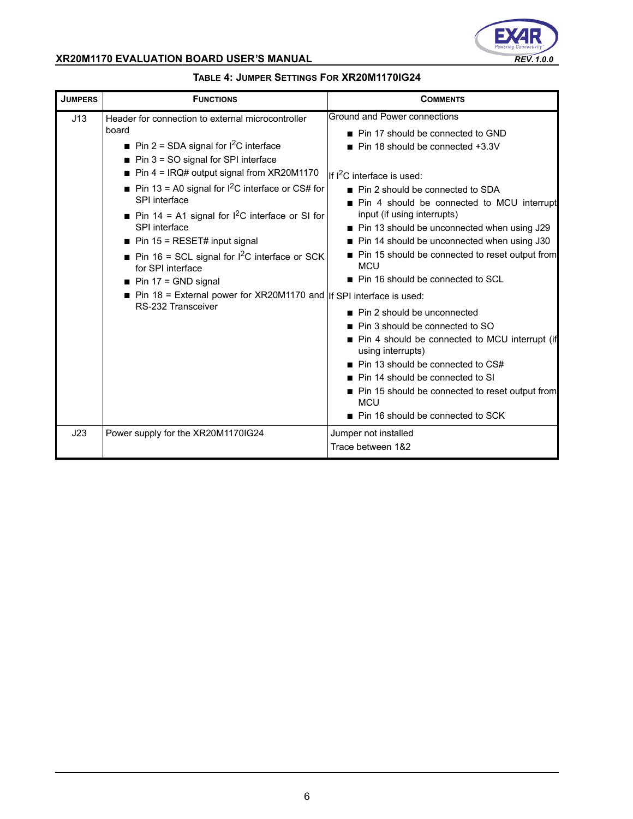

| <b>JUMPERS</b> | <b>FUNCTIONS</b>                                                                                                                                                                                                                                                                                                                                                                                                                                                                                                                                                                                                                    | <b>COMMENTS</b>                                                                                                                                                                                                                                                                                                                                                                                                                                                                                                                                                                                                                                                                                                                                                                                                                 |
|----------------|-------------------------------------------------------------------------------------------------------------------------------------------------------------------------------------------------------------------------------------------------------------------------------------------------------------------------------------------------------------------------------------------------------------------------------------------------------------------------------------------------------------------------------------------------------------------------------------------------------------------------------------|---------------------------------------------------------------------------------------------------------------------------------------------------------------------------------------------------------------------------------------------------------------------------------------------------------------------------------------------------------------------------------------------------------------------------------------------------------------------------------------------------------------------------------------------------------------------------------------------------------------------------------------------------------------------------------------------------------------------------------------------------------------------------------------------------------------------------------|
| J13            | Header for connection to external microcontroller<br>board<br>Pin 2 = SDA signal for $1^2C$ interface<br>$\blacksquare$ Pin 3 = SO signal for SPI interface<br>$\blacksquare$ Pin 4 = IRQ# output signal from XR20M1170<br>Pin 13 = A0 signal for $1^2C$ interface or CS# for<br>SPI interface<br>Pin 14 = A1 signal for $1^2C$ interface or SI for<br>SPI interface<br>$\blacksquare$ Pin 15 = RESET# input signal<br>Pin 16 = SCL signal for $1^2$ C interface or SCK<br>for SPI interface<br>$\blacksquare$ Pin 17 = GND signal<br>Pin 18 = External power for XR20M1170 and $ $ If SPI interface is used:<br>RS-232 Transceiver | Ground and Power connections<br>■ Pin 17 should be connected to GND<br>Pin 18 should be connected +3.3V<br>If I <sup>2</sup> C interface is used:<br>■ Pin 2 should be connected to SDA<br>Pin 4 should be connected to MCU interrupt<br>input (if using interrupts)<br>■ Pin 13 should be unconnected when using J29<br>■ Pin 14 should be unconnected when using J30<br>■ Pin 15 should be connected to reset output from<br><b>MCU</b><br>■ Pin 16 should be connected to SCL<br>■ Pin 2 should be unconnected<br>■ Pin 3 should be connected to SO<br>■ Pin 4 should be connected to MCU interrupt (if<br>using interrupts)<br>$\blacksquare$ Pin 13 should be connected to CS#<br>Pin 14 should be connected to SI<br>Pin 15 should be connected to reset output from<br><b>MCU</b><br>■ Pin 16 should be connected to SCK |
| J23            | Power supply for the XR20M1170IG24                                                                                                                                                                                                                                                                                                                                                                                                                                                                                                                                                                                                  | Jumper not installed<br>Trace between 1&2                                                                                                                                                                                                                                                                                                                                                                                                                                                                                                                                                                                                                                                                                                                                                                                       |

## **TABLE 4: JUMPER SETTINGS FOR XR20M1170IG24**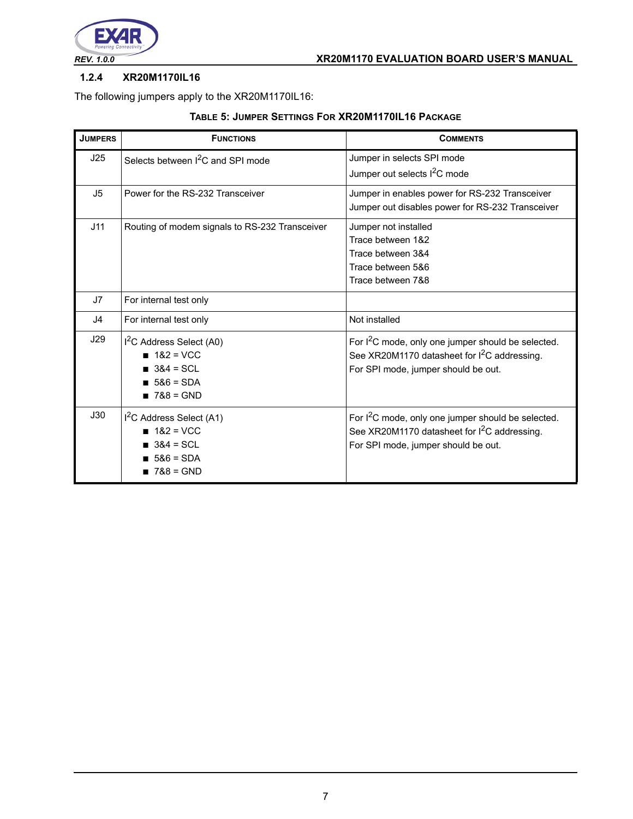

#### **1.2.4 XR20M1170IL16**

The following jumpers apply to the XR20M1170IL16:

| <b>JUMPERS</b> | <b>FUNCTIONS</b>                                                                                  | <b>COMMENTS</b>                                                                                                                                                   |
|----------------|---------------------------------------------------------------------------------------------------|-------------------------------------------------------------------------------------------------------------------------------------------------------------------|
| J25            | Selects between I <sup>2</sup> C and SPI mode                                                     | Jumper in selects SPI mode<br>Jumper out selects I <sup>2</sup> C mode                                                                                            |
| J <sub>5</sub> | Power for the RS-232 Transceiver                                                                  | Jumper in enables power for RS-232 Transceiver<br>Jumper out disables power for RS-232 Transceiver                                                                |
| J11            | Routing of modem signals to RS-232 Transceiver                                                    | Jumper not installed<br>Trace between 1&2<br>Trace between 3&4<br>Trace between 5&6<br>Trace between 7&8                                                          |
| J7             | For internal test only                                                                            |                                                                                                                                                                   |
| J4             | For internal test only                                                                            | Not installed                                                                                                                                                     |
| J29            | I <sup>2</sup> C Address Select (A0)<br>$182 = VCC$<br>$384 = SCL$<br>$586 = SDA$<br>$1788 = GND$ | For I <sup>2</sup> C mode, only one jumper should be selected.<br>See XR20M1170 datasheet for I <sup>2</sup> C addressing.<br>For SPI mode, jumper should be out. |
| J30            | $I2C$ Address Select (A1)<br>$182 = VCC$<br>$384 = SC1$<br>$586 = SDA$<br>$788 = GND$             | For I <sup>2</sup> C mode, only one jumper should be selected.<br>See XR20M1170 datasheet for I <sup>2</sup> C addressing.<br>For SPI mode, jumper should be out. |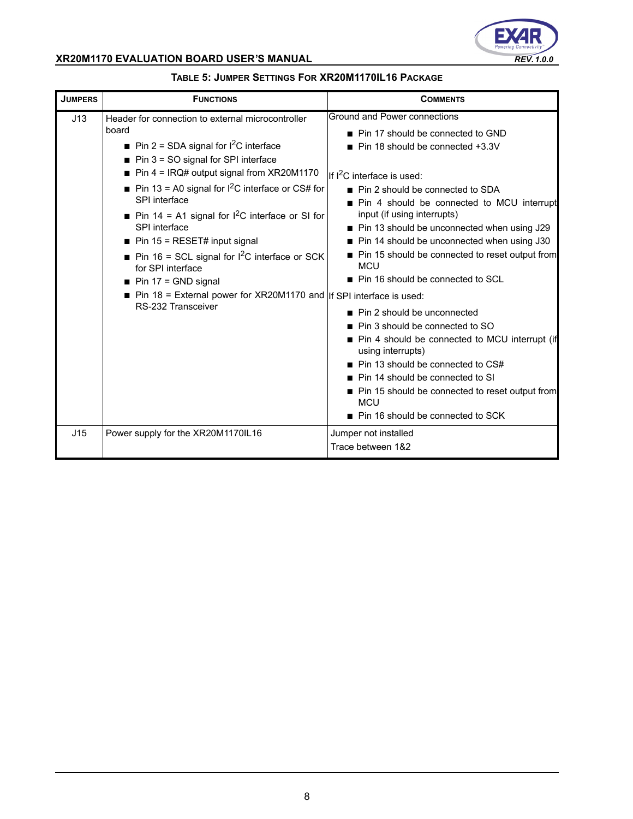

| <b>JUMPERS</b> | <b>FUNCTIONS</b>                                                                                                                                                                                                                                                                                                                                                                                                                                                                                                                                                                                                                                  | <b>COMMENTS</b>                                                                                                                                                                                                                                                                                                                                                                                                                                                                                                                                                                                                                                                                                                                                                                                                           |
|----------------|---------------------------------------------------------------------------------------------------------------------------------------------------------------------------------------------------------------------------------------------------------------------------------------------------------------------------------------------------------------------------------------------------------------------------------------------------------------------------------------------------------------------------------------------------------------------------------------------------------------------------------------------------|---------------------------------------------------------------------------------------------------------------------------------------------------------------------------------------------------------------------------------------------------------------------------------------------------------------------------------------------------------------------------------------------------------------------------------------------------------------------------------------------------------------------------------------------------------------------------------------------------------------------------------------------------------------------------------------------------------------------------------------------------------------------------------------------------------------------------|
| J13            | Header for connection to external microcontroller<br>board<br>Pin 2 = SDA signal for $I^2C$ interface<br>$\blacksquare$ Pin 3 = SO signal for SPI interface<br>$\blacksquare$ Pin 4 = IRQ# output signal from XR20M1170<br>Pin 13 = A0 signal for $1^2C$ interface or CS# for<br>SPI interface<br><b>Pin 14 = A1 signal for I<sup>2</sup>C interface or SI for</b><br>SPI interface<br>$\blacksquare$ Pin 15 = RESET# input signal<br>Pin 16 = SCL signal for $1^2C$ interface or SCK<br>for SPI interface<br>$\blacksquare$ Pin 17 = GND signal<br>Pin 18 = External power for XR20M1170 and $ $ If SPI interface is used:<br>RS-232 Transceiver | Ground and Power connections<br>■ Pin 17 should be connected to GND<br>■ Pin 18 should be connected +3.3V<br>IIf I <sup>2</sup> C interface is used:<br>■ Pin 2 should be connected to SDA<br>Pin 4 should be connected to MCU interrupt<br>input (if using interrupts)<br>■ Pin 13 should be unconnected when using J29<br>■ Pin 14 should be unconnected when using J30<br>■ Pin 15 should be connected to reset output from<br><b>MCU</b><br>■ Pin 16 should be connected to SCL<br>■ Pin 2 should be unconnected<br>■ Pin 3 should be connected to SO<br>■ Pin 4 should be connected to MCU interrupt (if<br>using interrupts)<br>■ Pin 13 should be connected to CS#<br>■ Pin 14 should be connected to SI<br>■ Pin 15 should be connected to reset output from<br><b>MCU</b><br>■ Pin 16 should be connected to SCK |
| J15            | Power supply for the XR20M1170IL16                                                                                                                                                                                                                                                                                                                                                                                                                                                                                                                                                                                                                | Jumper not installed<br>Trace between 1&2                                                                                                                                                                                                                                                                                                                                                                                                                                                                                                                                                                                                                                                                                                                                                                                 |

### **TABLE 5: JUMPER SETTINGS FOR XR20M1170IL16 PACKAGE**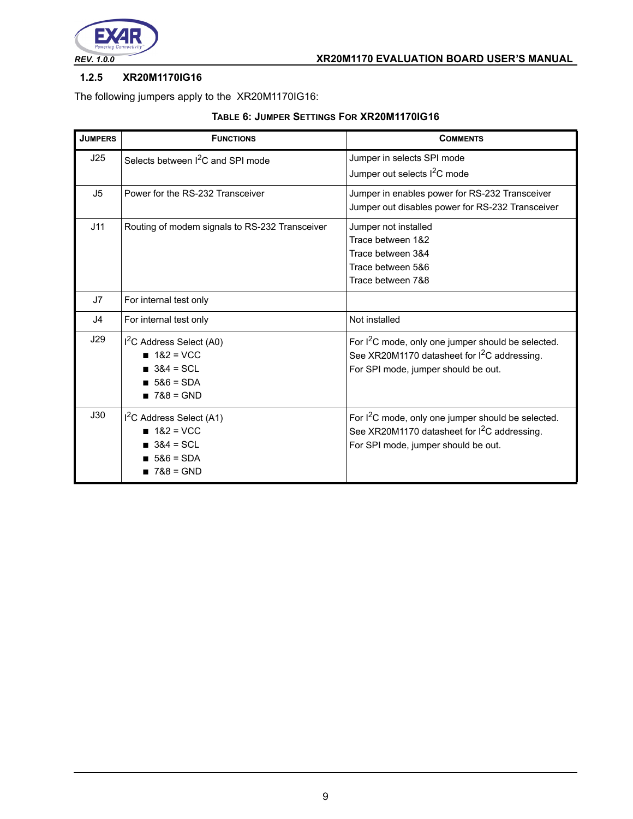

### **1.2.5 XR20M1170IG16**

The following jumpers apply to the XR20M1170IG16:

|  |  | TABLE 6: JUMPER SETTINGS FOR XR20M1170IG16 |
|--|--|--------------------------------------------|
|--|--|--------------------------------------------|

| <b>JUMPERS</b> | <b>FUNCTIONS</b>                                                                                                      | <b>COMMENTS</b>                                                                                                                                                   |
|----------------|-----------------------------------------------------------------------------------------------------------------------|-------------------------------------------------------------------------------------------------------------------------------------------------------------------|
| J25            | Selects between <sup>2</sup> C and SPI mode                                                                           | Jumper in selects SPI mode<br>Jumper out selects I <sup>2</sup> C mode                                                                                            |
| J <sub>5</sub> | Power for the RS-232 Transceiver                                                                                      | Jumper in enables power for RS-232 Transceiver<br>Jumper out disables power for RS-232 Transceiver                                                                |
| J11            | Routing of modem signals to RS-232 Transceiver                                                                        | Jumper not installed<br>Trace between 1&2<br>Trace between 3&4<br>Trace between 5&6<br>Trace between 7&8                                                          |
| J7             | For internal test only                                                                                                |                                                                                                                                                                   |
| J <sub>4</sub> | For internal test only                                                                                                | Not installed                                                                                                                                                     |
| J29            | I <sup>2</sup> C Address Select (A0)<br>$182 = VCC$<br>$384 = \text{SCI}$<br>$1586 = SDA$<br>$\blacksquare$ 7&8 = GND | For I <sup>2</sup> C mode, only one jumper should be selected.<br>See XR20M1170 datasheet for I <sup>2</sup> C addressing.<br>For SPI mode, jumper should be out. |
| J30            | I <sup>2</sup> C Address Select (A1)<br>$182 = VCC$<br>$384 = SCL$<br>$586 = SDA$<br>$788 = GND$                      | For I <sup>2</sup> C mode, only one jumper should be selected.<br>See XR20M1170 datasheet for I <sup>2</sup> C addressing.<br>For SPI mode, jumper should be out. |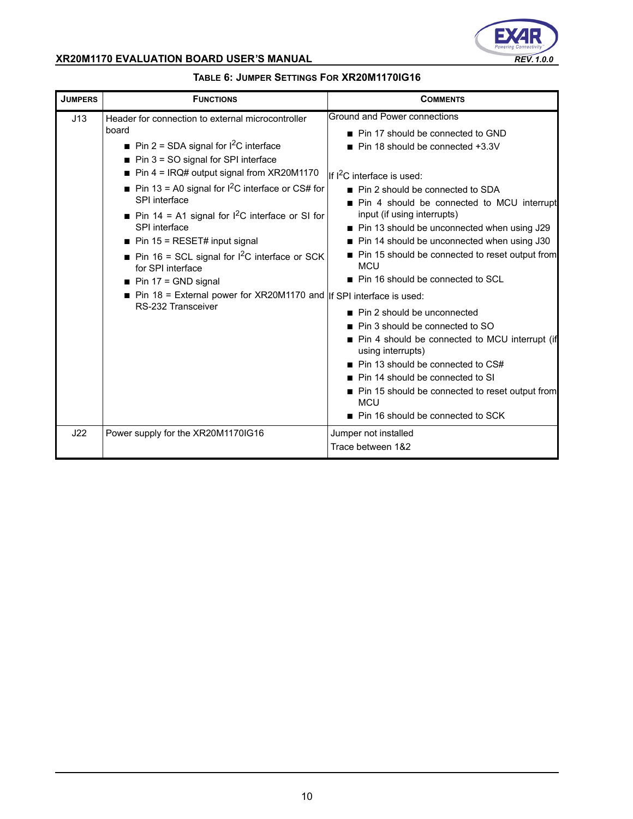

| <b>JUMPERS</b> | <b>FUNCTIONS</b>                                                                                                                                                                                                                                                                                                                                                                                                                                                                                                                                                                                                                    | <b>COMMENTS</b>                                                                                                                                                                                                                                                                                                                                                                                                                                                                                                                                                                                                                                                                                                                                                                                                                 |
|----------------|-------------------------------------------------------------------------------------------------------------------------------------------------------------------------------------------------------------------------------------------------------------------------------------------------------------------------------------------------------------------------------------------------------------------------------------------------------------------------------------------------------------------------------------------------------------------------------------------------------------------------------------|---------------------------------------------------------------------------------------------------------------------------------------------------------------------------------------------------------------------------------------------------------------------------------------------------------------------------------------------------------------------------------------------------------------------------------------------------------------------------------------------------------------------------------------------------------------------------------------------------------------------------------------------------------------------------------------------------------------------------------------------------------------------------------------------------------------------------------|
| J13            | Header for connection to external microcontroller<br>board<br>Pin 2 = SDA signal for $1^2C$ interface<br>$\blacksquare$ Pin 3 = SO signal for SPI interface<br>$\blacksquare$ Pin 4 = IRQ# output signal from XR20M1170<br>Pin 13 = A0 signal for $1^2C$ interface or CS# for<br>SPI interface<br>Pin 14 = A1 signal for $1^2C$ interface or SI for<br>SPI interface<br>$\blacksquare$ Pin 15 = RESET# input signal<br>Pin 16 = SCL signal for $1^2$ C interface or SCK<br>for SPI interface<br>$\blacksquare$ Pin 17 = GND signal<br>Pin 18 = External power for XR20M1170 and $ $ If SPI interface is used:<br>RS-232 Transceiver | Ground and Power connections<br>■ Pin 17 should be connected to GND<br>Pin 18 should be connected +3.3V<br>If I <sup>2</sup> C interface is used:<br>■ Pin 2 should be connected to SDA<br>Pin 4 should be connected to MCU interrupt<br>input (if using interrupts)<br>■ Pin 13 should be unconnected when using J29<br>■ Pin 14 should be unconnected when using J30<br>■ Pin 15 should be connected to reset output from<br><b>MCU</b><br>■ Pin 16 should be connected to SCL<br>■ Pin 2 should be unconnected<br>■ Pin 3 should be connected to SO<br>■ Pin 4 should be connected to MCU interrupt (if<br>using interrupts)<br>$\blacksquare$ Pin 13 should be connected to CS#<br>Pin 14 should be connected to SI<br>Pin 15 should be connected to reset output from<br><b>MCU</b><br>■ Pin 16 should be connected to SCK |
| J22            | Power supply for the XR20M1170IG16                                                                                                                                                                                                                                                                                                                                                                                                                                                                                                                                                                                                  | Jumper not installed<br>Trace between 1&2                                                                                                                                                                                                                                                                                                                                                                                                                                                                                                                                                                                                                                                                                                                                                                                       |

## **TABLE 6: JUMPER SETTINGS FOR XR20M1170IG16**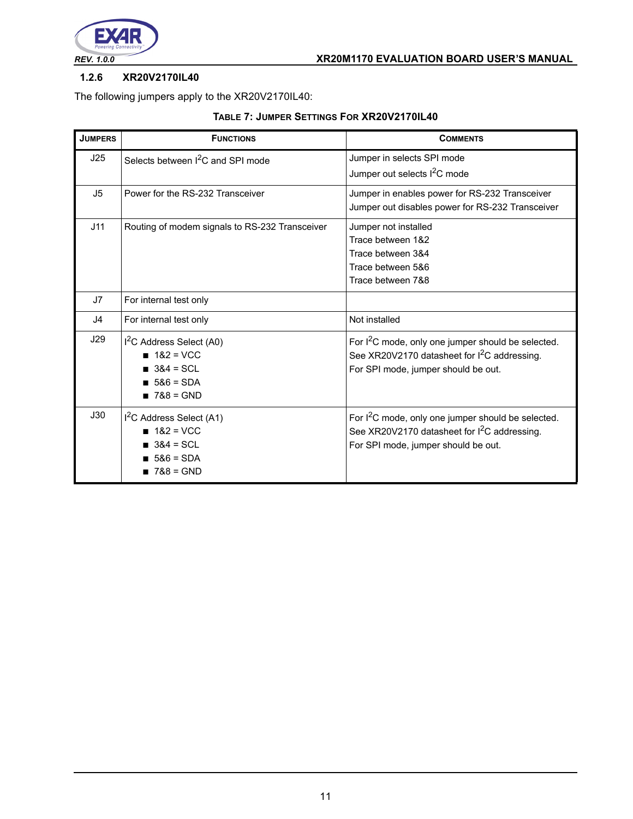

### **1.2.6 XR20V2170IL40**

The following jumpers apply to the XR20V2170IL40:

|  |  | TABLE 7: JUMPER SETTINGS FOR XR20V2170IL40 |  |
|--|--|--------------------------------------------|--|
|--|--|--------------------------------------------|--|

| <b>JUMPERS</b> | <b>FUNCTIONS</b>                                                                                  | <b>COMMENTS</b>                                                                                                                                                   |
|----------------|---------------------------------------------------------------------------------------------------|-------------------------------------------------------------------------------------------------------------------------------------------------------------------|
| J25            | Selects between I <sup>2</sup> C and SPI mode                                                     | Jumper in selects SPI mode<br>Jumper out selects I <sup>2</sup> C mode                                                                                            |
| J <sub>5</sub> | Power for the RS-232 Transceiver                                                                  | Jumper in enables power for RS-232 Transceiver<br>Jumper out disables power for RS-232 Transceiver                                                                |
| J11            | Routing of modem signals to RS-232 Transceiver                                                    | Jumper not installed<br>Trace between 1&2<br>Trace between 3&4<br>Trace between 5&6<br>Trace between 7&8                                                          |
| J7             | For internal test only                                                                            |                                                                                                                                                                   |
| J4             | For internal test only                                                                            | Not installed                                                                                                                                                     |
| J29            | I <sup>2</sup> C Address Select (A0)<br>$182 = VCC$<br>$384 = SCL$<br>$586 = SDA$<br>$1788 = GND$ | For I <sup>2</sup> C mode, only one jumper should be selected.<br>See XR20V2170 datasheet for I <sup>2</sup> C addressing.<br>For SPI mode, jumper should be out. |
| J30            | I <sup>2</sup> C Address Select (A1)<br>$182 = VCC$<br>$384 = SC1$<br>$586 = SDA$<br>$788 = GND$  | For I <sup>2</sup> C mode, only one jumper should be selected.<br>See XR20V2170 datasheet for I <sup>2</sup> C addressing.<br>For SPI mode, jumper should be out. |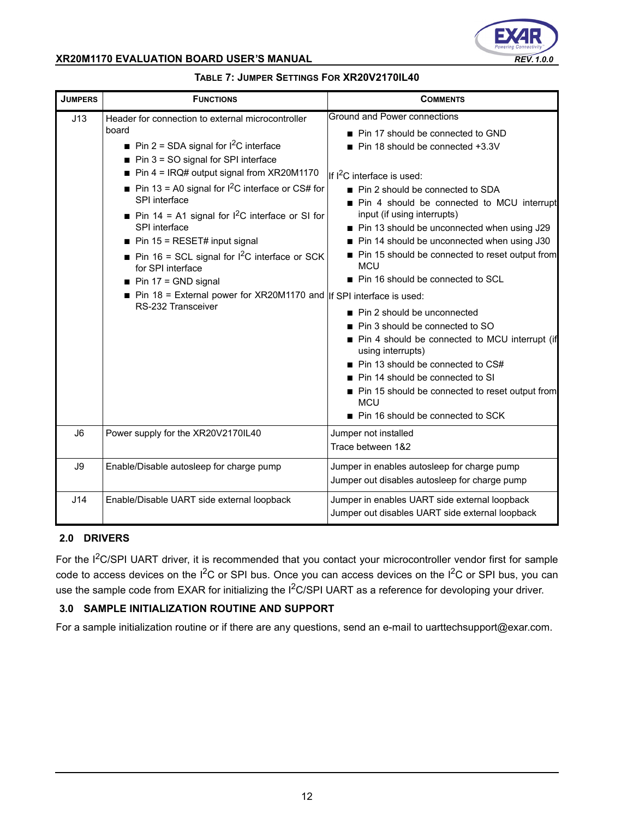

| <b>JUMPERS</b> | <b>FUNCTIONS</b>                                                                                                                                                                                                                                                                                                                                                                                                                                                                                                                                                                                                     | <b>COMMENTS</b>                                                                                                                                                                                                                                                                                                                                                                                                                                                                                                                                                                                                                                                                                                                                                                                          |
|----------------|----------------------------------------------------------------------------------------------------------------------------------------------------------------------------------------------------------------------------------------------------------------------------------------------------------------------------------------------------------------------------------------------------------------------------------------------------------------------------------------------------------------------------------------------------------------------------------------------------------------------|----------------------------------------------------------------------------------------------------------------------------------------------------------------------------------------------------------------------------------------------------------------------------------------------------------------------------------------------------------------------------------------------------------------------------------------------------------------------------------------------------------------------------------------------------------------------------------------------------------------------------------------------------------------------------------------------------------------------------------------------------------------------------------------------------------|
| J13            | Header for connection to external microcontroller<br>board<br>Pin 2 = SDA signal for $1^2C$ interface<br>$\blacksquare$ Pin 3 = SO signal for SPI interface<br>Pin $4 = IRQ#$ output signal from XR20M1170<br>Pin 13 = A0 signal for $1^2C$ interface or CS# for<br>SPI interface<br>Pin 14 = A1 signal for $1^2C$ interface or SI for<br>SPI interface<br>$\blacksquare$ Pin 15 = RESET# input signal<br>Pin 16 = SCL signal for $1^2$ C interface or SCK<br>for SPI interface<br>$\blacksquare$ Pin 17 = GND signal<br>Pin 18 = External power for XR20M1170 and   If SPI interface is used:<br>RS-232 Transceiver | Ground and Power connections<br>■ Pin 17 should be connected to GND<br>Pin 18 should be connected +3.3V<br>If I <sup>2</sup> C interface is used:<br>■ Pin 2 should be connected to SDA<br>Pin 4 should be connected to MCU interrupt<br>input (if using interrupts)<br>Pin 13 should be unconnected when using J29<br>Pin 14 should be unconnected when using J30<br>Pin 15 should be connected to reset output from<br><b>MCU</b><br>Pin 16 should be connected to SCL<br>■ Pin 2 should be unconnected<br>Pin 3 should be connected to SO<br>■ Pin 4 should be connected to MCU interrupt (if<br>using interrupts)<br>Pin 13 should be connected to CS#<br>■ Pin 14 should be connected to SI<br>Pin 15 should be connected to reset output from<br><b>MCU</b><br>■ Pin 16 should be connected to SCK |
| J <sub>6</sub> | Power supply for the XR20V2170IL40                                                                                                                                                                                                                                                                                                                                                                                                                                                                                                                                                                                   | Jumper not installed<br>Trace between 1&2                                                                                                                                                                                                                                                                                                                                                                                                                                                                                                                                                                                                                                                                                                                                                                |
| J9             | Enable/Disable autosleep for charge pump                                                                                                                                                                                                                                                                                                                                                                                                                                                                                                                                                                             | Jumper in enables autosleep for charge pump<br>Jumper out disables autosleep for charge pump                                                                                                                                                                                                                                                                                                                                                                                                                                                                                                                                                                                                                                                                                                             |
| J14            | Enable/Disable UART side external loopback                                                                                                                                                                                                                                                                                                                                                                                                                                                                                                                                                                           | Jumper in enables UART side external loopback<br>Jumper out disables UART side external loopback                                                                                                                                                                                                                                                                                                                                                                                                                                                                                                                                                                                                                                                                                                         |

### **TABLE 7: JUMPER SETTINGS FOR XR20V2170IL40**

#### **2.0 DRIVERS**

For the I<sup>2</sup>C/SPI UART driver, it is recommended that you contact your microcontroller vendor first for sample code to access devices on the  $I^2C$  or SPI bus. Once you can access devices on the  $I^2C$  or SPI bus, you can use the sample code from EXAR for initializing the I<sup>2</sup>C/SPI UART as a reference for devoloping your driver.

### **3.0 SAMPLE INITIALIZATION ROUTINE AND SUPPORT**

For a sample initialization routine or if there are any questions, send an e-mail to uarttechsupport@exar.com.